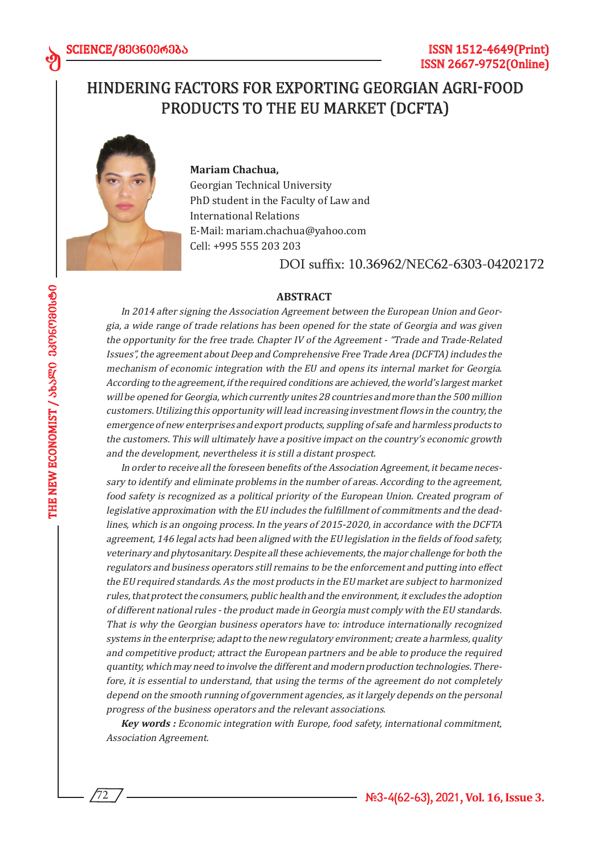## HINDERING FACTORS FOR EXPORTING GEORGIAN AGRI-FOOD PRODUCTS TO THE EU MARKET (DCFTA)



#### **Mariam Chachua,**

Georgian Technical University PhD student in the Faculty of Law and International Relations E-Mail: mariam.chachua@yahoo.com Cell: +995 555 203 203

DOI suffix: 10.36962/NEC62-6303-04202172

#### **ABSTRACT**

In 2014 after signing the Association Agreement between the European Union and Georgia, a wide range of trade relations has been opened for the state of Georgia and was given the opportunity for the free trade. Chapter IV of the Agreement - "Trade and Trade-Related Issues", the agreement about Deep and Comprehensive Free Trade Area (DCFTA) includes the mechanism of economic integration with the EU and opens its internal market for Georgia. According to the agreement, if the required conditions are achieved, the world's largest market will be opened for Georgia, which currently unites 28 countries and more than the 500 million customers. Utilizing this opportunity will lead increasing investment flows in the country, the emergence of new enterprises and export products, suppling of safe and harmless products to the customers. This will ultimately have a positive impact on the country's economic growth and the development, nevertheless it is still a distant prospect.

In order to receive all the foreseen benefits of the Association Agreement, it became necessary to identify and eliminate problems in the number of areas. According to the agreement, food safety is recognized as a political priority of the European Union. Created program of legislative approximation with the EU includes the fulfillment of commitments and the deadlines, which is an ongoing process. In the years of 2015-2020, in accordance with the DCFTA agreement, 146 legal acts had been aligned with the EU legislation in the fields of food safety, veterinary and phytosanitary. Despite all these achievements, the major challenge for both the regulators and business operators still remains to be the enforcement and putting into effect the EU required standards. As the most products in the EU market are subject to harmonized rules, that protect the consumers, public health and the environment, it excludes the adoption of different national rules - the product made in Georgia must comply with the EU standards. That is why the Georgian business operators have to: introduce internationally recognized systems in the enterprise; adapt to the new regulatory environment; create a harmless, quality and competitive product; attract the European partners and be able to produce the required quantity, which may need to involve the different and modern production technologies. Therefore, it is essential to understand, that using the terms of the agreement do not completely depend on the smooth running of government agencies, as it largely depends on the personal progress of the business operators and the relevant associations.

**Key words :** Economic integration with Europe, food safety, international commitment, Association Agreement.

ed

72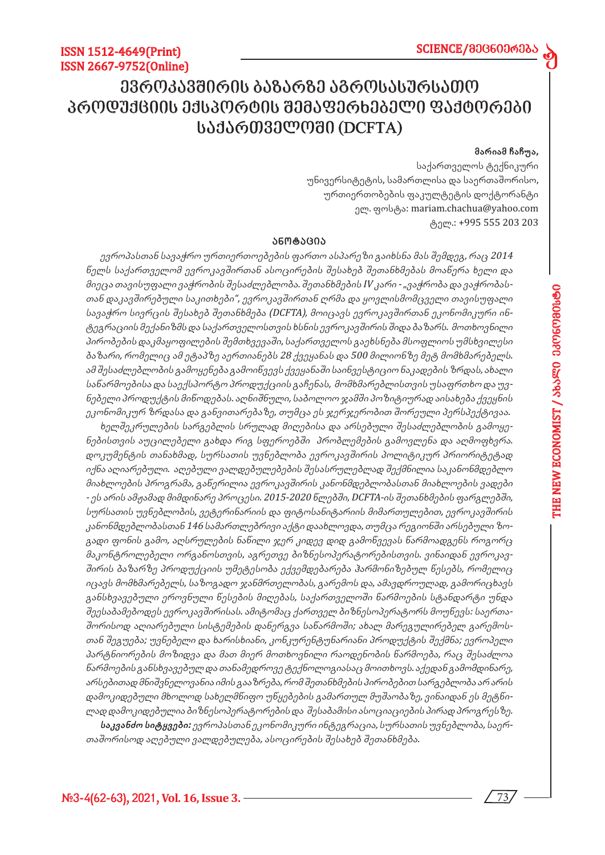# *ევროკავშირის ბაზარზე აგროსასურსათო პროდუქციის ექსპორტის შემაფერხებელი ფაქტორები საქართველოში (DCFTA)*

### **მარიამ ჩაჩუა,**

d

საქართველოს ტექნიკური უნივერსიტეტის, სამართლისა და საერთაშორისო, ურთიერთობების ფაკულტეტის დოქტორანტი ელ. ფოსტა: mariam.chachua@yahoo.com ტელ.: +995 555 203 203

#### **ანო ტა ცია**

ევროპასთან სავაჭრო ურთიერთოებების ფართო ასპარეზი გაიხსნა მას შემდეგ, რაც 2014 წელს საქართველომ ევროკავშირთან ასოცირების შესახებ შეთანხმებას მოაწერა ხელი და მიეცა თავისუფალი ვაჭრობის შესაძლებლობა. შეთანხმების IV კარი - "ვაჭრობა და ვაჭრობასთან დაკავშირებული საკითხები", ევროკავშირთან ღრმა და ყოვლისმომცველი თავისუფალი სავაჭრო სივრცის შესახებ შეთანხმება (DCFTA), მოიცავს ევროკავშირთან ეკონომიკური ინტეგრაციის მექანიზმს და საქართველოსთვის ხსნის ევროკავშირის შიდა ბაზარს. მოთხოვნილი პირობების დაკმაყოფილების შემთხვევაში, საქართველოს გაეხსნება მსოფლიოს უმსხვილესი ბაზარი, რომელიც ამ ეტაპზე აერთიანებს 28 ქვეყანას და 500 მილიონზე მეტ მომხმარებელს. ამ შესაძლებლობის გამოყენება გამოიწვევს ქვეყანაში საინვესტიციო ნაკადების ზრდას, ახალი საწარმოებისა და საექსპორტო პროდუქციის გაჩენას, მომხმარებლისთვის უსაფრთხო და უვნებელი პროდუქტის მიწოდებას. აღნიშნული, საბოლოო ჯამში პოზიტიურად აისახება ქვეყნის ეკონომიკურ ზრდასა და განვითარებაზე, თუმცა ეს ჯერჯერობით შორეული პერსპექტივაა.

ხელშეკრულების სარგებლის სრულად მიღებისა და არსებული შესაძლებლობის გამოყენებისთვის აუცილებელი გახდა რიგ სფეროებში პრობლემების გამოვლენა და აღმოფხვრა. დოკუმენტის თანახმად, სურსათის უვნებლობა ევროკავშირის პოლიტიკურ პრიორიტეტად იქნა აღიარებული. აღებული ვალდებულებების შესასრულებლად შექმნილია საკანონმდებლო მიახლოების პროგრამა, გაწერილია ევროკავშირის კანონმდებლობასთან მიახლოების ვადები - ეს არის ამჟამად მიმდინარე პროცესი. 2015-2020 წლებში, DCFTA-ის შეთანხმების ფარგლებში, სურსათის უვნებლობის, ვეტერინარიის და ფიტოსანიტარიის მიმართულებით, ევროკავშირის კანონმდებლობასთან 146 სამართლებრივი აქტი დაახლოვდა, თუმცა რეგიონში არსებული ზოგადი ფონის გამო, აღსრულების ნაწილი ჯერ კიდევ დიდ გამოწვევას წარმოადგენს როგორც მაკონტროლებელი ორგანოსთვის, აგრეთვე ბიზნესოპერატორებისთვის. ვინაიდან ევროკავშირის ბაზარზე პროდუქციის უმეტესობა ექვემდებარება ჰარმონიზებულ წესებს, რომელიც იცავს მომხმარებელს, საზოგადო ჯანმრთელობას, გარემოს და, ამავდროულად, გამორიცხავს განსხვავებული ეროვნული წესების მიღებას, საქართველოში წარმოების სტანდარტი უნდა შეესაბამებოდეს ევროკავშირისას. ამიტომაც ქართველ ბიზნესოპერატორს მოუწევს: საერთაშორისოდ აღიარებული სისტემების დანერგვა საწარმოში; ახალ მარეგულირებელ გარემოსთან შეგუება; უვნებელი და ხარისხიანი, კონკურენტუნარიანი პროდუქტის შექმნა; ევროპელი პარტნიორების მოზიდვა და მათ მიერ მოთხოვნილი რაოდენობის წარმოება, რაც შესაძლოა წარმოების განსხვავებულ და თანამედროვე ტექნოლოგიასაც მოითხოვს. აქედან გამომდინარე, არსებითად მნიშვნელოვანია იმის გააზრება, რომ შეთანხმების პირობებით სარგებლობა არ არის დამოკიდებული მხოლოდ სახელმწიფო უწყებების გამართულ მუშაობაზე, ვინაიდან ეს მეტწილად დამოკიდებულია ბიზნესოპერატორების და შესაბამისი ასოციაციების პირად პროგრესზე.

**საკვანძო სიტყვები:** ევროპასთან ეკონომიკური ინტეგრაცია, სურსათის უვნებლობა, საერთაშორისოდ აღებული ვალდებულება, ასოცირების შესახებ შეთანხმება.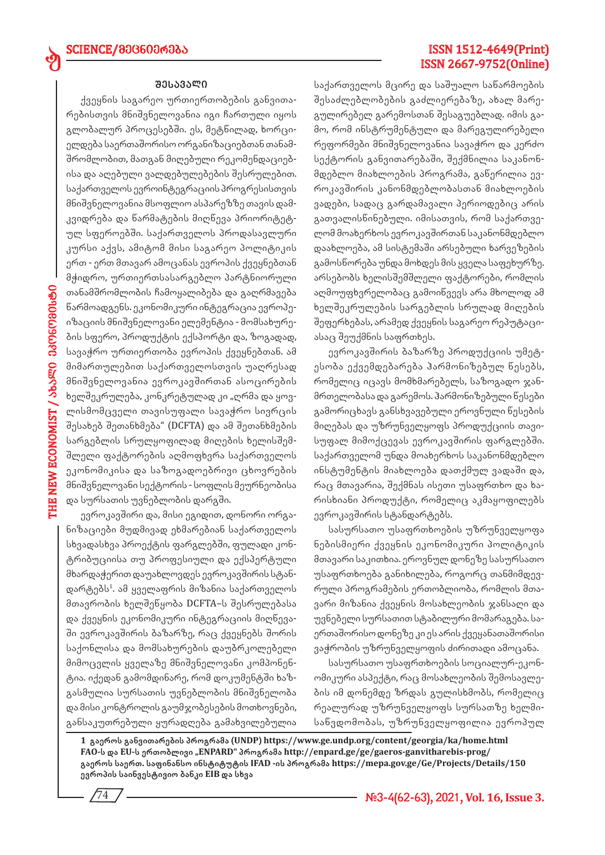### **შე სა ვა ლი**

ქვეყნის საგარეო ურთიერთობების განვითარებისთვის მნიშვნელოვანია იგი ჩართული იყოს გლობალურ პროცესებში. ეს, მეტწილად, ხორციელდება საერთაშორისო ორგანიზაციებთან თანამშრომლობით, მათგან მიღებული რეკომენდაციებისა და აღებული ვალდებულებების შესრულებით. საქართველოს ევროინტეგრაციის პროგრესისთვის მნიშვნელოვანია მსოფლიო ასპარეზზე თავის დამკვიდრება და წარმატების მიღწევა პრიორიტეტულ სფეროებში. საქართველოს პროდასავლური კურსი აქვს, ამიტომ მისი საგარეო პოლიტიკის ერთ - ერთ მთავარ ამოცანას ევროპის ქვეყნებთან მჭიდრო, ურთიერთსასარგებლო პარტნიორული თანამშრომლობის ჩამოყალიბება და გაღრმავება წარმოადგენს. ეკონომიკური ინტეგრაცია ევროპეიზაციის მნიშვნელოვანი ელემენტია - მომსახურების სფერო, პროდუქტის ექსპორტი და, ზოგადად, სავაჭრო ურთიერთობა ევროპის ქვეყნებთან. ამ მიმართულებით საქართველოსთვის უაღრესად მნიშვნელოვანია ევროკავშირთან ასოცირების ხელშეკრულება, კონკრეტულად კი "ღრმა და ყოვლისმომცველი თავისუფალი სავაჭრო სივრცის შესახებ შეთანხმება" (DCFTA) და ამ შეთანხმების სარგებლის სრულყოფილად მიღების ხელისშემშლელი ფაქტორების აღმოფხვრა საქართველოს ეკონომიკისა და საზოგადოებრივი ცხოვრების მნიშვნელოვანი სექტორის - სოფლის მეურნეობისა და სურსათის უვნებლობის დარგში.

ევროკავშირი და, მისი ეგიდით, დონორი ორგანიზაციები მუდმივად ეხმარებიან საქართველოს სხვადასხვა პროექტის ფარგლებში, ფულადი კონტრიბუციისა თუ პროფესიული და ექსპერტული მხარდაჭერით დაუახლოვდეს ევროკავშირის სტანდარტებს<sup>1</sup>. ამ ყველაფრის მიზანია საქართველოს მთავრობის ხელშეწყობა DCFTA–ს შესრულებასა და ქვეყნის ეკონომიკური ინტეგრაციის მიღწევაში ევროკავშირის ბაზარზე, რაც ქვეყნებს შორის საქონლისა და მომსახურების დაუბრკოლებელი მიმოცვლის ყველაზე მნიშვნელოვანი კომპონენტია. იქედან გამომდინარე, რომ დოკუმენტში ხაზგასმულია სურსათის უვნებლობის მნიშვნელობა და მისი კონტროლის გაუმჯობესების მოთხოვნები, განსაკუთრებული ყურადღება გამახვილებულია

74

## ISSN 1512-4649(Print) ISSN 2667-9752(Online)

საქართველოს მცირე და საშუალო საწარმოების შესაძლებლობების გაძლიერებაზე, ახალ მარეგულირებელ გარემოსთან შესაგუებლად. იმის გამო, რომ ინსტრუმენტული და მარეგულირებელი რეფორმები მნიშვნელოვანია სავაჭრო და კერძო სექტორის განვითარებაში, შექმნილია საკანონმდებლო მიახლოების პროგრამა, გაწერილია ევროკავშირის კანონმდებლობასთან მიახლოების ვადები, სადაც გარდამავალი პერიოდებიც არის გათვალისწინებული. იმისათვის, რომ საქართველომ მოახერხოს ევროკავშირთან საკანონმდებლო დაახლოება, ამ სისტემაში არსებული ხარვეზების გამოსწორება უნდა მოხდეს მის ყველა საფეხურზე. არსებობს ხელისშემშლელი ფაქტორები, რომლის აღმოუფხვრელობაც გამოიწვევს არა მხოლოდ ამ ხელშეკრულების სარგებლის სრულად მიღების შეფერხებას, არამედ ქვეყნის საგარეო რეპუტაციასაც შეუქმნის საფრთხეს.

ევროკავშირის ბაზარზე პროდუქციის უმეტესობა ექვემდებარება ჰარმონიზებულ წესებს, რომელიც იცავს მომხმარებელს, საზოგადო ჯანმრთელობასა და გარემოს. ჰარმონიზებული წესები გამორიცხავს განსხვავებული ეროვნული წესების მიღებას და უზრუნველყოფს პროდუქციის თავისუფალ მიმოქცევას ევროკავშირის ფარგლებში. საქართველომ უნდა მოახერხოს საკანონმდებლო ინსტუმენტის მიახლოება დათქმულ ვადაში და, რაც მთავარია, შექმნას ისეთი უსაფრთხო და ხარისხიანი პროდუქტი, რომელიც აკმაყოფილებს ევროკავშირის სტანდარტებს.

სასურსათო უსაფრთხოების უზრუნველყოფა ნებისმიერი ქვეყნის ეკონომიკური პოლიტიკის მთავარი საკითხია. ეროვნულ დონეზე სასურსათო უსაფრთხოება განიხილება, როგორც თანმიმდევრული პროგრამების ერთობლიობა, რომლის მთავარი მიზანია ქვეყნის მოსახლეობის ჯანსაღი და უვნებელი სურსათით სტაბილური მომარაგება. საერთაშორისო დონეზე კი ეს არის ქვეყანათაშორისი ვაჭრობის უზრუნველყოფის ძირითადი ამოცანა.

სასურსათო უსაფრთხოების სოციალურ-ეკონომიკური ასპექტი, რაც მოსახლეობის შემოსავლების იმ დონემდე ზრდას გულისხმობს, რომელიც რეალურად უზრუნველყოფს სურსათზე ხელმისაწვდომობას, უზრუნველყოფილია ევროპულ

**1 გაეროს განვითარების პროგრამა (UNDP) https://www.ge.undp.org/content/georgia/ka/home.html FAO-ს და EU-ს ერთობლივი "ENPARD" პროგრამა http://enpard.ge/ge/gaeros-ganvitharebis-prog/ გაეროს საერთ. საფინანსო ინსტიტუტის IFAD -ის პროგრამა https://mepa.gov.ge/Ge/Projects/Details/150 ევროპის საინვესტივიო ბანკი EIB და სხვა**

**#3-4(62-63), 2021, Vol. 16, Issue 3.**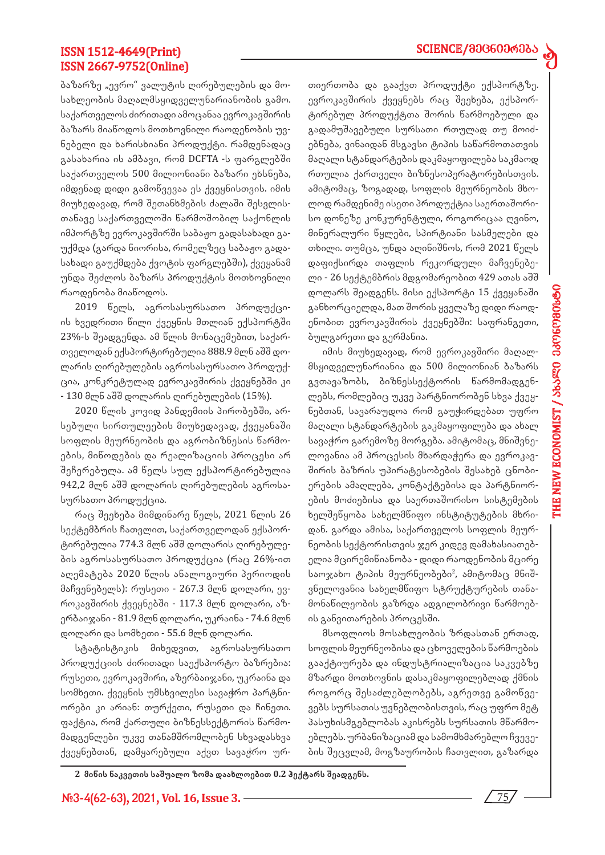## SCIENCE/მ00600606

d

## ISSN 1512-4649(Print) ISSN 2667-9752(Online)

ბაზარზე "ევრო" ვალუტის ღირებულების და მოსახლეობის მაღალმსყიდველუნარიანობის გამო. საქართველოს ძირითადი ამოცანაა ევროკავშირის ბაზარს მიაწოდოს მოთხოვნილი რაოდენობის უვნებელი და ხარისხიანი პროდუქტი. რამდენადაც გასახარია ის ამბავი, რომ DCFTA -ს ფარგლებში საქართველოს 500 მილიონიანი ბაზარი ეხსნება, იმდენად დიდი გამოწვევაა ეს ქვეყნისთვის. იმის მიუხედავად, რომ შეთანხმების ძალაში შესვლისთანავე საქართველოში წარმოშობილ საქონლის იმპორტზე ევროკავშირში საბაჟო გადასახადი გაუქმდა (გარდა ნიორისა, რომელზეც საბაჟო გადასახადი გაუქმდება ქვოტის ფარგლებში), ქვეყანამ უნდა შეძლოს ბაზარს პროდუქტის მოთხოვნილი რაოდენობა მიაწოდოს.

2019 წელს, აგროსასურსათო პროდუქციის ხვედრითი წილი ქვეყნის მთლიან ექსპორტში 23%-ს შეადგენდა. ამ წლის მონაცემებით, საქართველოდან ექსპორტირებულია 888.9 მლნ აშშ დოლარის ღირებულების აგროსასურსათო პროდუქცია, კონკრეტულად ევროკავშირის ქვეყნებში კი - 130 მლნ აშშ დოლარის ღირებულების (15%).

2020 წლის კოვიდ პანდემიის პირობებში, არსებული სირთულეების მიუხედავად, ქვეყანაში სოფლის მეურნეობის და აგრობიზნესის წარმოების, მიწოდების და რეალიზაციის პროცესი არ შეჩერებულა. ამ წელს სულ ექსპორტირებულია 942,2 მლნ აშშ დოლარის ღირებულების აგროსასურსათო პროდუქცია.

რაც შეეხება მიმდინარე წელს, 2021 წლის 26 სექტემბრის ჩათვლით, საქართველოდან ექსპორტირებულია 774.3 მლნ აშშ დოლარის ღირებულების აგროსასურსათო პროდუქცია (რაც 26%-ით აღემატება 2020 წლის ანალოგიური პერიოდის მაჩვენებელს): რუსეთი - 267.3 მლნ დოლარი, ევროკავშირის ქვეყნებში - 117.3 მლნ დოლარი, აზერბაიჯანი - 81.9 მლნ დოლარი, უკრაინა - 74.6 მლნ დოლარი და სომხეთი - 55.6 მლნ დოლარი.

სტატისტიკის მიხედვით, აგროსასურსათო პროდუქციის ძირითადი საექსპორტო ბაზრებია: რუსეთი, ევროკავშირი, აზერბაიჯანი, უკრაინა და სომხეთი. ქვეყნის უმსხვილესი სავაჭრო პარტნიორები კი არიან: თურქეთი, რუსეთი და ჩინეთი. ფაქტია, რომ ქართული ბიზნესსექტორის წარმომადგენლები უკვე თანამშრომლობენ სხვადასხვა ქვეყნებთან, დამყარებული აქვთ სავაჭრო ურთიერთობა და გააქვთ პროდუქტი ექსპორტზე. ევროკავშირის ქვეყნებს რაც შეეხება, ექსპორტირებულ პროდუქტთა შორის წარმოებული და გადამუშავებული სურსათი რთულად თუ მოიძებნება, ვინაიდან მსგავსი ტიპის საწარმოთათვის მაღალი სტანდარტების დაკმაყოფილება საკმაოდ რთულია ქართველი ბიზნესოპერატორებისთვის. ამიტომაც, ზოგადად, სოფლის მეურნეობის მხოლოდ რამდენიმე ისეთი პროდუქტია საერთაშორისო დონეზე კონკურენტული, როგორიცაა ღვინო, მინერალური წყლები, სპირტიანი სასმელები და თხილი. თუმცა, უნდა აღინიშნოს, რომ 2021 წელს დაფიქსირდა თაფლის რეკორდული მაჩვენებელი - 26 სექტემბრის მდგომარეობით 429 ათას აშშ დოლარს შეადგენს. მისი ექსპორტი 15 ქვეყანაში განხორციელდა, მათ შორის ყველაზე დიდი რაოდენობით ევროკავშირის ქვეყნებში: საფრანგეთი, ბულგარეთი და გერმანია.

იმის მიუხედავად, რომ ევროკავშირი მაღალმსყიდველუნარიანია და 500 მილიონიან ბაზარს გვთავაზობს, ბიზნესსექტორის წარმომადგენლებს, რომლებიც უკვე პარტნიორობენ სხვა ქვეყნებთან, სავარაუდოა რომ გაუჭირდებათ უფრო მაღალი სტანდარტების გაკმაყოფილება და ახალ სავაჭრო გარემოზე მორგება. ამიტომაც, მნიშვნელოვანია ამ პროცესის მხარდაჭერა და ევროკავშირის ბაზრის უპირატესობების შესახებ ცნობიერების ამაღლება, კონტაქტებისა და პარტნიორების მოძიებისა და საერთაშორისო სისტემების ხელშეწყობა სახელმწიფო ინსტიტუტების მხრიდან. გარდა ამისა, საქართველოს სოფლის მეურნეობის სექტორისთვის ჯერ კიდევ დამახასიათებელია მცირემიწიანობა - დიდი რაოდენობის მცირე საოჯახო ტიპის მეურნეობები<sup>2</sup>, ამიტომაც მნიშვნელოვანია სახელმწიფო სტრუქტურების თანამონაწილეობის გაზრდა ადგილობრივი წარმოების განვითარების პროცესში.

მსოფლიოს მოსახლეობის ზრდასთან ერთად, სოფლის მეურნეობისა და ცხოველების წარმოების გააქტიურება და ინდუსტრიალიზაცია საკვებზე მზარდი მოთხოვნის დასაკმაყოფილებლად ქმნის როგორც შესაძლებლობებს, აგრეთვე გამოწვევებს სურსათის უვნებლობისთვის, რაც უფრო მეტ პასუხისმგებლობას აკისრებს სურსათის მწარმოებლებს. ურბანიზაციამ და სამომხმარებლო ჩვევების შეცვლამ, მოგზაურობის ჩათვლით, გაზარდა

**2 მიწის ნაკვეთის საშუალო ზომა დაახლოებით 0.2 ჰექტარს შეადგენს.**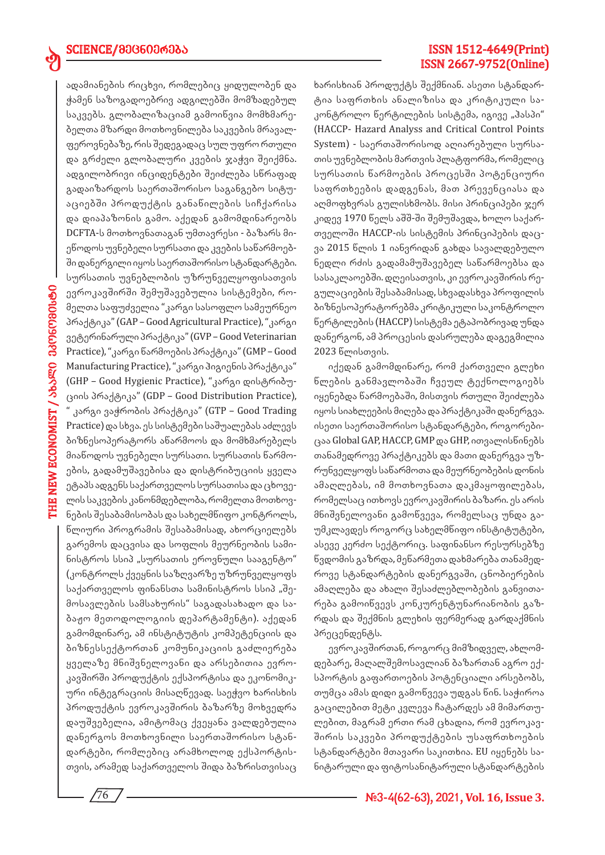ed

ადამიანების რიცხვი, რომლებიც ყიდულობენ და ჭამენ საზოგადოებრივ ადგილებში მომზადებულ საკვებს. გლობალიზაციამ გამოიწვია მომხმარებელთა მზარდი მოთხოვნილება საკვების მრავალფეროვნებაზე, რის შედეგადაც სულ უფრო რთული და გრძელი გლობალური კვების ჯაჭვი შეიქმნა. ადგილობრივი ინციდენტები შეიძლება სწრაფად გადაიზარდოს საერთაშორისო საგანგებო სიტუაციებში პროდუქტის განაწილების სიჩქარისა და დიაპაზონის გამო. აქედან გამომდინარეობს DCFTA-ს მოთხოვნათაგან უმთავრესი - ბაზარს მიეწოდოს უვნებელი სურსათი და კვების საწარმოებში დანერგილი იყოს საერთაშორისო სტანდარტები. სურსათის უვნებლობის უზრუნველყოფისათვის ევროკავშირში შემუშავებულია სისტემები, რომელთა საფუძველია "კარგი სასოფლო სამეურნეო პრაქტიკა" (GAP – Good Agricultural Practice), "კარგი ვეტერინარული პრაქტიკა" (GVP – Good Veterinarian Practice), "კარგი წარმოების პრაქტიკა" (GMP – Good Manufacturing Practice), "კარგი ჰიგიენის პრაქტიკა" (GHP – Good Hygienic Practice), "კარგი დისტრიბუციის პრაქტიკა" (GDP – Good Distribution Practice), " კარგი ვაჭრობის პრაქტიკა" (GTP – Good Trading Practice) და სხვა. ეს სისტემები საშუალებას აძლევს ბიზნესოპერატორს აწარმოოს და მომხმარებელს მიაწოდოს უვნებელი სურსათი. სურსათის წარმოების, გადამუშავებისა და დისტრიბუციის ყველა

ეტაპს ადგენს საქართველოს სურსათისა და ცხოველის საკვების კანონმდებლობა, რომელთა მოთხოვნების შესაბამისობას და სახელმწიფო კონტროლს, წლიური პროგრამის შესაბამისად, ახორციელებს გარემოს დაცვისა და სოფლის მეურნეობის სამინისტროს სსიპ "სურსათის ეროვნული სააგენტო" (კონტროლს ქვეყნის საზღვარზე უზრუნველყოფს საქართველოს ფინანსთა სამინისტროს სსიპ "შემოსავლების სამსახურის" საგადასახადო და საბაჟო მეთოდოლოგიის დეპარტამენტი). აქედან გამომდინარე, ამ ინსტიტუტის კომპეტენციის და ბიზნესსექტორთან კომუნიკაციის გაძლიერება ყველაზე მნიშვნელოვანი და არსებითია ევროკავშირში პროდუქტის ექსპორტისა და ეკონომიკური ინტეგრაციის მისაღწევად. საეჭვო ხარისხის პროდუქტის ევროკავშირის ბაზარზე მოხვედრა დაუშვებელია, ამიტომაც ქვეყანა ვალდებულია დანერგოს მოთხოვნილი საერთაშორისო სტანდარტები, რომლებიც არამხოლოდ ექსპორტისთვის, არამედ საქართველოს შიდა ბაზრისთვისაც

ISSN 1512-4649(Print) ISSN 2667-9752(Online)

ხარისხიან პროდუქტს შექმნიან. ასეთი სტანდარტია საფრთხის ანალიზისა და კრიტიკული საკონტროლო წერტილების სისტემა, იგივე "ჰასპი" (HACCP- Hazard Analyss and Critical Control Points System) - საერთაშორისოდ აღიარებული სურსათის უვნებლობის მართვის პლატფორმა, რომელიც სურსათის წარმოების პროცესში პოტენციური საფრთხეების დადგენას, მათ პრევენციასა და აღმოფხვრას გულისხმობს. მისი პრინციპები ჯერ კიდევ 1970 წელს აშშ-ში შემუშავდა, ხოლო საქართველოში HACCP-ის სისტემის პრინციპების დაცვა 2015 წლის 1 იანვრიდან გახდა სავალდებულო ნედლი რძის გადამამუშავებელ საწარმოებსა და სასაკლაოებში. დღეისათვის, კი ევროკავშირის რეგულაციების შესაბამისად, სხვადასხვა პროფილის ბიზნესოპერატორებმა კრიტიკული საკონტროლო წერტილების (HACCP) სისტემა ეტაპობრივად უნდა დანერგონ, ამ პროცესის დასრულება დაგეგმილია 2023 წლისთვის.

იქედან გამომდინარე, რომ ქართველი გლეხი წლების განმავლობაში ჩვეულ ტექნოლოგიებს იყენებდა წარმოებაში, მისთვის რთული შეიძლება იყოს სიახლეების მიღება და პრაქტიკაში დანერგვა. ისეთი საერთაშორისო სტანდარტები, როგორებიცაა Global GAP, HACCP, GMP და GHP, ითვალისწინებს თანამედროვე პრაქტიკებს და მათი დანერგვა უზრუნველყოფს საწარმოთა და მეურნეობების დონის ამაღლებას, იმ მოთხოვნათა დაკმაყოფილებას, რომელსაც ითხოვს ევროკავშირის ბაზარი. ეს არის მნიშვნელოვანი გამოწვევა, რომელსაც უნდა გაუმკლავდეს როგორც სახელმწიფო ინსტიტუტები, ასევე კერძო სექტორიც. საფინანსო რესურსებზე წვდომის გაზრდა, მეწარმეთა დახმარება თანამედროვე სტანდარტების დანერგვაში, ცნობიერების ამაღლება და ახალი შესაძლებლობების განვითარება გამოიწვევს კონკურენტუნარიანობის გაზრდას და შექმნის გლეხის ფერმერად გარდაქმნის პრეცენდენტს.

ევროკავშირთან, როგორც მიმზიდველ, ახლომდებარე, მაღალშემოსავლიან ბაზართან აგრო ექსპორტის გაფართოების პოტენციალი არსებობს, თუმცა ამას დიდი გამოწვევა უდგას წინ. საჭიროა გაცილებით მეტი კვლევა ჩატარდეს ამ მიმართულებით, მაგრამ ერთი რამ ცხადია, რომ ევროკავშირის საკვები პროდუქტების უსაფრთხოების სტანდარტები მთავარი საკითხია. EU იყენებს სანიტარული და ფიტოსანიტარული სტანდარტების

76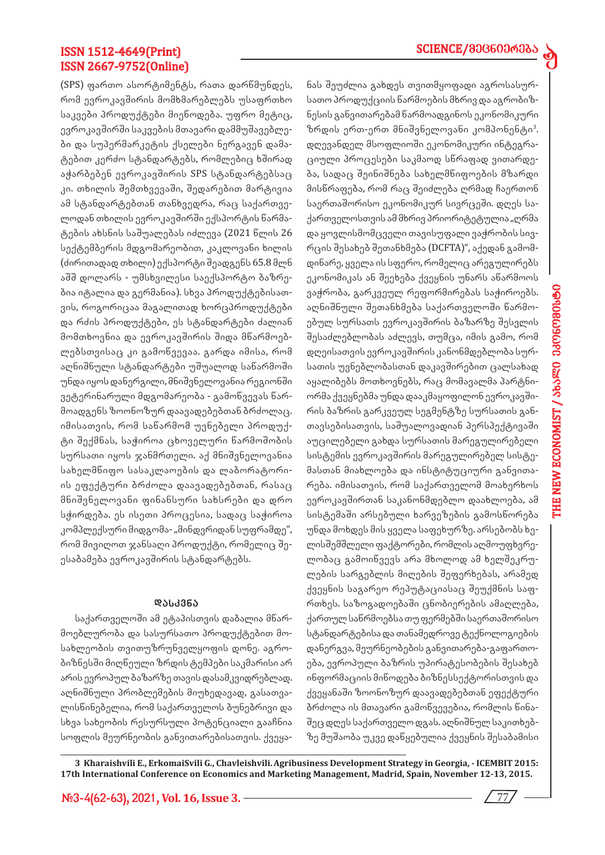d

## ISSN 1512-4649(Print) ISSN 2667-9752(Online)

(SPS) ფართო ასორტიმენტს, რათა დარწმუნდეს, რომ ევროკავშირის მომხმარებლებს უსაფრთხო საკვები პროდუქტები მიეწოდება. უფრო მეტიც, ევროკავშირში საკვების მთავარი დამმუშავებლები და სუპერმარკეტის ქსელები ნერგავენ დამატებით კერძო სტანდარტებს, რომლებიც ხშირად აჭარბებენ ევროკავშირის SPS სტანდარტებსაც კი. თხილის შემთხვევაში, შედარებით მარტივია ამ სტანდარტებთან თანხვედრა, რაც საქართველოდან თხილის ევროკავშირში ექსპორტის წარმატების ახსნის საშუალებას იძლევა (2021 წლის 26 სექტემბერის მდგომარეობით, კაკლოვანი ხილის (ძირითადად თხილი) ექსპორტი შეადგენს 65.8 მლნ აშშ დოლარს - უმსხვილესი საექსპორტო ბაზრებია იტალია და გერმანია). სხვა პროდუქტებისათვის, როგორიცაა მაგალითად ხორცპროდუქტები და რძის პროდუქტები, ეს სტანდარტები ძალიან მომთხოვნია და ევროკავშირის შიდა მწარმოებლებსთვისაც კი გამოწვევაა. გარდა იმისა, რომ აღნიშნული სტანდარტები უშუალოდ საწარმოში უნდა იყოს დანერგილი, მნიშვნელოვანია რეგიონში ვეტერინარული მდგომარეობა - გამოწვევას წარმოადგენს ზოონოზურ დაავადებებთან ბრძოლაც. იმისათვის, რომ საწარმომ უვნებელი პროდუქტი შექმნას, საჭიროა ცხოველური წარმოშობის სურსათი იყოს ჯანმრთელი. აქ მნიშვნელოვანია სახელმწიფო სასაკლაოების და ლაბორატორიის ეფექტური ბრძოლა დაავადებებთან, რასაც მნიშვნელოვანი ფინანსური სახსრები და დრო სჭირდება. ეს ისეთი პროცესია, სადაც საჭიროა კომპლექსური მიდგომა- "მინდვრიდან სუფრამდე", რომ მივიღოთ ჯანსაღი პროდუქტი, რომელიც შეესაბამება ევროკავშირის სტანდარტებს.

#### **დას კვნა**

საქართველოში ამ ეტაპისთვის დაბალია მწარმოებლურობა და სასურსათო პროდუქტებით მოსახლეობის თვითუზრუნველყოფის დონე. აგრობიზნესში მიღწეული ზრდის ტემპები საკმარისი არ არის ევროპულ ბაზარზე თავის დასამკვიდრებლად. აღნიშნული პრობლემების მიუხედავად, გასათვალისწინებელია, რომ საქართველოს ბუნებრივი და სხვა სახეობის რესურსული პოტენციალი გააჩნია სოფლის მეურნეობის განვითარებისათვის. ქვეყანას შეუძლია გახდეს თვითმყოფადი აგროსასურსათო პროდუქციის წარმოების მხრივ და აგრობიზნესის განვითარებამ წარმოადგინოს ეკონომიკური ზრდის ერთ-ერთ მნიშვნელოვანი კომპონენტი<sup>3</sup>. დღევანდელ მსოფლიოში ეკონომიკური ინტეგრაციული პროცესები საკმაოდ სწრაფად ვითარდება, სადაც შეინიშნება სახელმწიფოების მზარდი მისწრაფება, რომ რაც შეიძლება ღრმად ჩაერთონ საერთაშორისო ეკონომიკურ სივრცეში. დღეს საქართველოსთვის ამ მხრივ პრიორიტეტულია "ღრმა და ყოვლისმომცველი თავისუფალი ვაჭრობის სივრცის შესახებ შეთანხმება (DCFTA)", აქედან გამომდინარე, ყველა ის სფერო, რომელიც არეგულირებს ეკონომიკას ან შეეხება ქვეყნის უნარს აწარმოოს ვაჭრობა, გარკვეულ რეფორმირებას საჭიროებს. აღნიშნული შეთანხმება საქართველოში წარმოებულ სურსათს ევროკავშირის ბაზარზე შესვლის შესაძლებლობას აძლევს, თუმცა, იმის გამო, რომ დღეისათვის ევროკავშირის კანონმდებლობა სურსათის უვნებლობასთან დაკავშირებით ცალსახად აყალიბებს მოთხოვნებს, რაც მომავალმა პარტნიორმა ქვეყნებმა უნდა დააკმაყოფილონ ევროკავშირის ბაზრის გარკვეულ სეგმენტზე სურსათის განთავსებისათვის, საშუალოვადიან პერსპექტივაში აუცილებელი გახდა სურსათის მარეგულირებელი სისტემის ევროკავშირის მარეგულირებელ სისტემასთან მიახლოება და ინსტიტუციური განვითარება. იმისათვის, რომ საქართველომ მოახერხოს ევროკავშირთან საკანონმდებლო დაახლოება, ამ სისტემაში არსებული ხარვეზების გამოსწორება უნდა მოხდეს მის ყველა საფეხურზე. არსებობს ხელისშემშლელი ფაქტორები, რომლის აღმოუფხვრელობაც გამოიწვევს არა მხოლოდ ამ ხელშეკრულების სარგებლის მიღების შეფერხებას, არამედ ქვეყნის საგარეო რეპუტაციასაც შეუქმნის საფრთხეს. საზოგადოებაში ცნობიერების ამაღლება, ქართულ საწრმოებსა თუ ფერმებში საერთაშორისო სტანდარტებისა და თანამედროვე ტექნოლოგიების დანერგვა, მეურნეობების განვითარება-გაფართოება, ევროპული ბაზრის უპირატესობების შესახებ ინფორმაციის მიწოდება ბიზნესსექტორისთვის და ქვეყანაში ზოონოზურ დაავადებებთან ეფექტური ბრძოლა ის მთავარი გამოწვევებია, რომლის წინაშეც დღეს საქართველო დგას. აღნიშნულ საკითხებზე მუშაობა უკვე დაწყებულია ქვეყნის შესაბამისი

**3 Kharaishvili E., ErkomaiSvili G., Chavleishvili. Agribusiness Development Strategy in Georgia, - ICEMBIT 2015: 17th International Conference on Economics and Marketing Management, Madrid, Spain, November 12-13, 2015.** 

**#3-4(62-63), 2021, Vol. 16, Issue 3.** 77

**THE NEW ECONOMIST / 363000 330060900660 THE NEW ECONOMIST / JbJECO 33CP6CP901990**